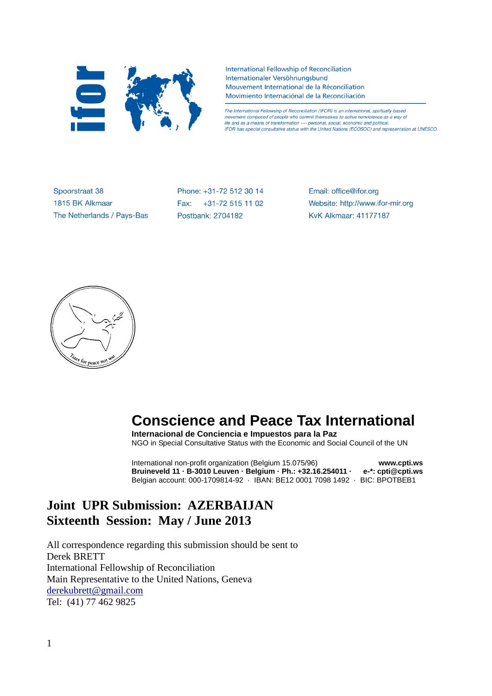

International Fellowship of Reconciliation Internationaler Versöhnungsbund Mouvement International de la Réconciliation Movimiento Internaciónal de la Reconciliación

The International Fellowship of Reconciliation (IFOR) is an international, spiritually-based movement composed of people who commit themselves to active nonviolence as a way of life and as a means of transformation ---- personal, social, economic and political. IFOR has special consultative status with the United Nations (ECOSOC) and representation at UNESCO.

Spoorstraat 38 1815 BK Alkmaar The Netherlands / Pays-Bas Phone: +31-72 512 30 14 Fax: +31-72 515 11 02 Postbank: 2704182

Email: office@ifor.org Website: http://www.ifor-mir.org **KvK Alkmaar: 41177187** 



# **Conscience and Peace Tax International**

**Internacional de Conciencia e Impuestos para la Paz** NGO in Special Consultative Status with the Economic and Social Council of the UN

International non-profit organization (Belgium 15.075/96) **www.cpti.ws Bruineveld 11 · B-3010 Leuven · Belgium · Ph.: +32.16.254011 · e-\*: cpti@cpti.ws** Belgian account: 000-1709814-92 · IBAN: BE12 0001 7098 1492 · BIC: BPOTBEB1

# **Joint UPR Submission: AZERBAIJAN Sixteenth Session: May / June 2013**

All correspondence regarding this submission should be sent to Derek BRETT International Fellowship of Reconciliation Main Representative to the United Nations, Geneva [derekubrett@gmail.com](mailto:derekubrett@gmail.com) Tel: (41) 77 462 9825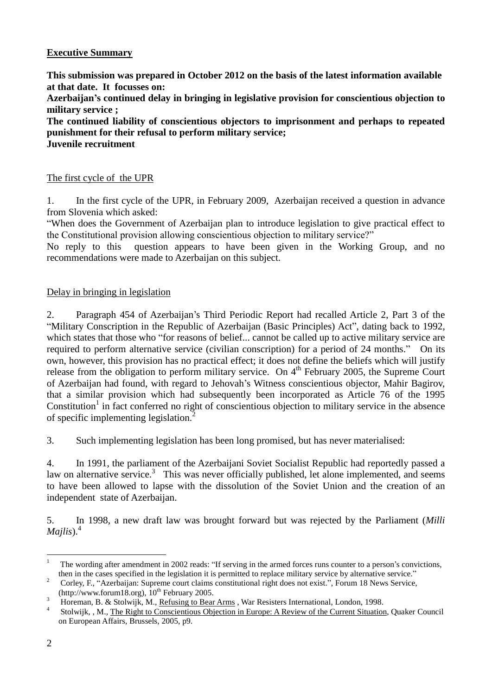# **Executive Summary**

**This submission was prepared in October 2012 on the basis of the latest information available at that date. It focusses on: Azerbaijan's continued delay in bringing in legislative provision for conscientious objection to military service ; The continued liability of conscientious objectors to imprisonment and perhaps to repeated**

**punishment for their refusal to perform military service; Juvenile recruitment**

# The first cycle of the UPR

1. In the first cycle of the UPR, in February 2009, Azerbaijan received a question in advance from Slovenia which asked:

"When does the Government of Azerbaijan plan to introduce legislation to give practical effect to the Constitutional provision allowing conscientious objection to military service?"

No reply to this question appears to have been given in the Working Group, and no recommendations were made to Azerbaijan on this subject.

### Delay in bringing in legislation

2. Paragraph 454 of Azerbaijan's Third Periodic Report had recalled Article 2, Part 3 of the "Military Conscription in the Republic of Azerbaijan (Basic Principles) Act", dating back to 1992, which states that those who "for reasons of belief... cannot be called up to active military service are required to perform alternative service (civilian conscription) for a period of 24 months." On its own, however, this provision has no practical effect; it does not define the beliefs which will justify release from the obligation to perform military service. On 4<sup>th</sup> February 2005, the Supreme Court of Azerbaijan had found, with regard to Jehovah's Witness conscientious objector, Mahir Bagirov, that a similar provision which had subsequently been incorporated as Article 76 of the 1995 Constitution<sup>1</sup> in fact conferred no right of conscientious objection to military service in the absence of specific implementing legislation. $\overline{2}$ 

3. Such implementing legislation has been long promised, but has never materialised:

4. In 1991, the parliament of the Azerbaijani Soviet Socialist Republic had reportedly passed a law on alternative service.<sup>3</sup> This was never officially published, let alone implemented, and seems to have been allowed to lapse with the dissolution of the Soviet Union and the creation of an independent state of Azerbaijan.

5. In 1998, a new draft law was brought forward but was rejected by the Parliament (*Milli Majlis*).<sup>4</sup>

 $\mathbf{1}$ <sup>1</sup> The wording after amendment in 2002 reads: "If serving in the armed forces runs counter to a person's convictions, then in the cases specified in the legislation it is permitted to replace military service by alternative service."

<sup>2</sup> Corley, F., "Azerbaijan: Supreme court claims constitutional right does not exist.", Forum 18 News Service, (http://www.forum18.org),  $10^{th}$  February 2005.

<sup>&</sup>lt;sup>3</sup> Horeman, B. & Stolwijk, M., Refusing to Bear Arms, War Resisters International, London, 1998.

<sup>4</sup> Stolwijk, , M., The Right to Conscientious Objection in Europe: A Review of the Current Situation, Quaker Council on European Affairs, Brussels, 2005, p9.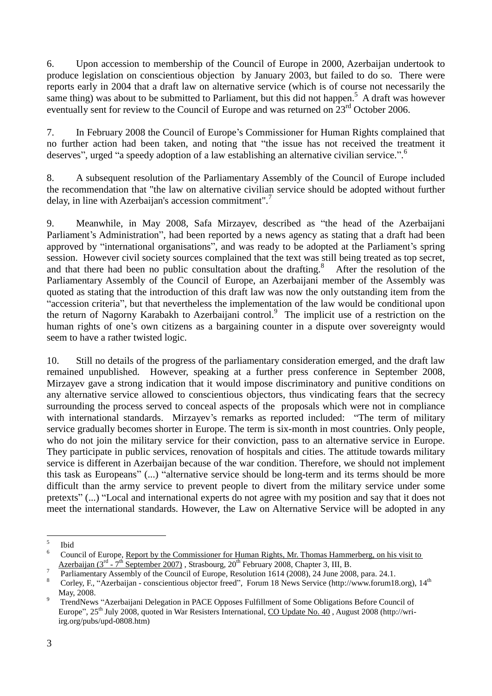6. Upon accession to membership of the Council of Europe in 2000, Azerbaijan undertook to produce legislation on conscientious objection by January 2003, but failed to do so. There were reports early in 2004 that a draft law on alternative service (which is of course not necessarily the same thing) was about to be submitted to Parliament, but this did not happen.<sup>5</sup> A draft was however eventually sent for review to the Council of Europe and was returned on  $23<sup>rd</sup>$  October 2006.

7. In February 2008 the Council of Europe's Commissioner for Human Rights complained that no further action had been taken, and noting that "the issue has not received the treatment it deserves", urged "a speedy adoption of a law establishing an alternative civilian service.".<sup>6</sup>

8. A subsequent resolution of the Parliamentary Assembly of the Council of Europe included the recommendation that "the law on alternative civilian service should be adopted without further delay, in line with Azerbaijan's accession commitment".<sup>7</sup>

9. Meanwhile, in May 2008, Safa Mirzayev, described as "the head of the Azerbaijani Parliament's Administration", had been reported by a news agency as stating that a draft had been approved by "international organisations", and was ready to be adopted at the Parliament's spring session. However civil society sources complained that the text was still being treated as top secret, and that there had been no public consultation about the drafting.<sup>8</sup> After the resolution of the Parliamentary Assembly of the Council of Europe, an Azerbaijani member of the Assembly was quoted as stating that the introduction of this draft law was now the only outstanding item from the "accession criteria", but that nevertheless the implementation of the law would be conditional upon the return of Nagorny Karabakh to Azerbaijani control.<sup>9</sup> The implicit use of a restriction on the human rights of one's own citizens as a bargaining counter in a dispute over sovereignty would seem to have a rather twisted logic.

10. Still no details of the progress of the parliamentary consideration emerged, and the draft law remained unpublished. However, speaking at a further press conference in September 2008, Mirzayev gave a strong indication that it would impose discriminatory and punitive conditions on any alternative service allowed to conscientious objectors, thus vindicating fears that the secrecy surrounding the process served to conceal aspects of the proposals which were not in compliance with international standards. Mirzayev's remarks as reported included: "The term of military service gradually becomes shorter in Europe. The term is six-month in most countries. Only people, who do not join the military service for their conviction, pass to an alternative service in Europe. They participate in public services, renovation of hospitals and cities. The attitude towards military service is different in Azerbaijan because of the war condition. Therefore, we should not implement this task as Europeans" (...) "alternative service should be long-term and its terms should be more difficult than the army service to prevent people to divert from the military service under some pretexts" (...) "Local and international experts do not agree with my position and say that it does not meet the international standards. However, the Law on Alternative Service will be adopted in any

 $\frac{1}{5}$ Ibid

<sup>6</sup> Council of Europe, Report by the Commissioner for Human Rights, Mr. Thomas Hammerberg, on his visit to Azerbaijan (3<sup>rd</sup> - 7<sup>th</sup> September 2007), Strasbourg, 20<sup>th</sup> February 2008, Chapter 3, III, B.

<sup>7</sup> Parliamentary Assembly of the Council of Europe, Resolution 1614 (2008), 24 June 2008, para. 24.1.

<sup>8</sup> Corley, F., "Azerbaijan - conscientious objector freed", Forum 18 News Service (http://www.forum18.org), 14<sup>th</sup> May, 2008.

<sup>9</sup> TrendNews "Azerbaijani Delegation in PACE Opposes Fulfillment of Some Obligations Before Council of Europe", 25<sup>th</sup> July 2008, quoted in War Resisters International, CO Update No. 40, August 2008 (http://wriirg.org/pubs/upd-0808.htm)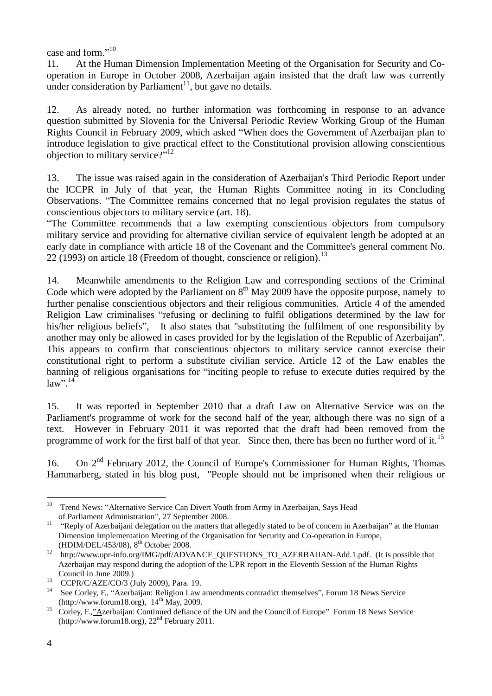case and form."<sup>10</sup>

11. At the Human Dimension Implementation Meeting of the Organisation for Security and Cooperation in Europe in October 2008, Azerbaijan again insisted that the draft law was currently under consideration by Parliament $^{11}$ , but gave no details.

12. As already noted, no further information was forthcoming in response to an advance question submitted by Slovenia for the Universal Periodic Review Working Group of the Human Rights Council in February 2009, which asked "When does the Government of Azerbaijan plan to introduce legislation to give practical effect to the Constitutional provision allowing conscientious objection to military service?"<sup>12</sup>

13. The issue was raised again in the consideration of Azerbaijan's Third Periodic Report under the ICCPR in July of that year, the Human Rights Committee noting in its Concluding Observations. "The Committee remains concerned that no legal provision regulates the status of conscientious objectors to military service (art. 18).

"The Committee recommends that a law exempting conscientious objectors from compulsory military service and providing for alternative civilian service of equivalent length be adopted at an early date in compliance with article 18 of the Covenant and the Committee's general comment No. 22 (1993) on article 18 (Freedom of thought, conscience or religion).<sup>13</sup>

14. Meanwhile amendments to the Religion Law and corresponding sections of the Criminal Code which were adopted by the Parliament on  $8<sup>th</sup>$  May 2009 have the opposite purpose, namely to further penalise conscientious objectors and their religious communities. Article 4 of the amended Religion Law criminalises "refusing or declining to fulfil obligations determined by the law for his/her religious beliefs", It also states that "substituting the fulfilment of one responsibility by another may only be allowed in cases provided for by the legislation of the Republic of Azerbaijan". This appears to confirm that conscientious objectors to military service cannot exercise their constitutional right to perform a substitute civilian service. Article 12 of the Law enables the banning of religious organisations for "inciting people to refuse to execute duties required by the  $law$ ".<sup>14</sup>

15. It was reported in September 2010 that a draft Law on Alternative Service was on the Parliament's programme of work for the second half of the year, although there was no sign of a text. However in February 2011 it was reported that the draft had been removed from the programme of work for the first half of that year. Since then, there has been no further word of it.<sup>15</sup>

16. On 2<sup>nd</sup> February 2012, the Council of Europe's Commissioner for Human Rights, Thomas Hammarberg, stated in his blog post, "People should not be imprisoned when their religious or

 $10\,$ Trend News: "Alternative Service Can Divert Youth from Army in Azerbaijan, Says Head of Parliament Administration", 27 September 2008.

<sup>&</sup>lt;sup>11</sup> "Reply of Azerbaijani delegation on the matters that allegedly stated to be of concern in Azerbaijan" at the Human Dimension Implementation Meeting of the Organisation for Security and Co-operation in Europe, (HDIM/DEL/453/08), 8<sup>th</sup> October 2008.

<sup>&</sup>lt;sup>12</sup> http://www.upr-info.org/IMG/pdf/ADVANCE\_QUESTIONS\_TO\_AZERBAIJAN-Add.1.pdf. (It is possible that Azerbaijan may respond during the adoption of the UPR report in the Eleventh Session of the Human Rights Council in June 2009.)

 $13$  CCPR/C/AZE/CO/3 (July 2009), Para. 19.

<sup>&</sup>lt;sup>14</sup> See Corley, F., "Azerbaijan: Religion Law amendments contradict themselves", Forum 18 News Service  $(\text{http://www.forum18.org})$ ,  $14^{\text{th}}$  May, 2009.

<sup>&</sup>lt;sup>15</sup> Corley, F.,"Azerbaijan: Continued defiance of the UN and the Council of Europe" Forum 18 News Service (http://www.forum18.org),  $22<sup>nd</sup>$  February 2011.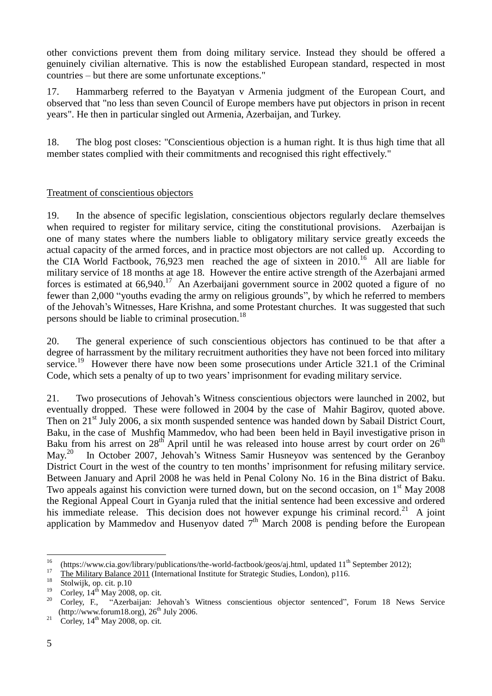other convictions prevent them from doing military service. Instead they should be offered a genuinely civilian alternative. This is now the established European standard, respected in most countries – but there are some unfortunate exceptions."

17. Hammarberg referred to the Bayatyan v Armenia judgment of the European Court, and observed that "no less than seven Council of Europe members have put objectors in prison in recent years". He then in particular singled out Armenia, Azerbaijan, and Turkey.

18. The blog post closes: "Conscientious objection is a human right. It is thus high time that all member states complied with their commitments and recognised this right effectively."

#### Treatment of conscientious objectors

19. In the absence of specific legislation, conscientious objectors regularly declare themselves when required to register for military service, citing the constitutional provisions. Azerbaijan is one of many states where the numbers liable to obligatory military service greatly exceeds the actual capacity of the armed forces, and in practice most objectors are not called up. According to the CIA World Factbook, 76,923 men reached the age of sixteen in  $2010$ .<sup>16</sup> All are liable for military service of 18 months at age 18. However the entire active strength of the Azerbajani armed forces is estimated at  $66,940$ .<sup>17</sup> An Azerbaijani government source in 2002 quoted a figure of no fewer than 2,000 "youths evading the army on religious grounds", by which he referred to members of the Jehovah's Witnesses, Hare Krishna, and some Protestant churches. It was suggested that such persons should be liable to criminal prosecution.<sup>18</sup>

20. The general experience of such conscientious objectors has continued to be that after a degree of harrassment by the military recruitment authorities they have not been forced into military service.<sup>19</sup> However there have now been some prosecutions under Article 321.1 of the Criminal Code, which sets a penalty of up to two years' imprisonment for evading military service.

21. Two prosecutions of Jehovah's Witness conscientious objectors were launched in 2002, but eventually dropped. These were followed in 2004 by the case of Mahir Bagirov, quoted above. Then on 21<sup>st</sup> July 2006, a six month suspended sentence was handed down by Sabail District Court, Baku, in the case of Mushfiq Mammedov, who had been been held in Bayil investigative prison in Baku from his arrest on  $28<sup>th</sup>$  April until he was released into house arrest by court order on  $26<sup>th</sup>$  $\text{Mav.}^{20}$  In October 2007, Jehovah's Witness Samir Husneyov was sentenced by the Geranboy District Court in the west of the country to ten months' imprisonment for refusing military service. Between January and April 2008 he was held in Penal Colony No. 16 in the Bina district of Baku. Two appeals against his conviction were turned down, but on the second occasion, on 1<sup>st</sup> May 2008 the Regional Appeal Court in Gyanja ruled that the initial sentence had been excessive and ordered his immediate release. This decision does not however expunge his criminal record.<sup>21</sup> A joint application by Mammedov and Husenyov dated  $7<sup>th</sup>$  March 2008 is pending before the European

 $16$ <sup>16</sup> (https://www.cia.gov/library/publications/the-world-factbook/geos/aj.html, updated 11<sup>th</sup> September 2012);

 $\frac{17}{18}$  The Military Balance 2011 (International Institute for Strategic Studies, London), p116.

 $^{18}$  Stolwijk, op. cit. p.10

<sup>&</sup>lt;sup>19</sup> Corley,  $14^{th}$  May 2008, op. cit.<br><sup>20</sup> Corley, E. *"Agentalian*. In

<sup>20</sup> Corley, F., "Azerbaijan: Jehovah's Witness conscientious objector sentenced", Forum 18 News Service  $(\text{http://www.forum18.org)}$ ,  $26^{\text{th}}$  July 2006.

<sup>&</sup>lt;sup>21</sup> Corley,  $14<sup>th</sup>$  May 2008, op. cit.